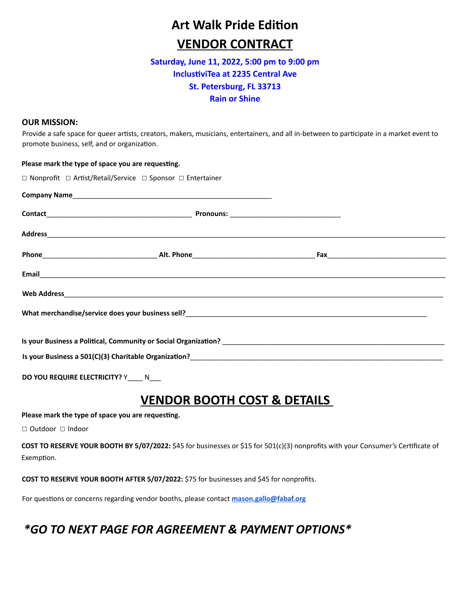# **Art Walk Pride Edition VENDOR CONTRACT**

#### **Saturday, June 11, 2022, 5:00 pm to 9:00 pm InclustiviTea at 2235 Central Ave St. Petersburg, FL 33713 Rain or Shine**

#### **OUR MISSION:**

Provide a safe space for queer artists, creators, makers, musicians, entertainers, and all in-between to participate in a market event to promote business, self, and or organization.

| Please mark the type of space you are requesting.                                                                                                                                                                         |  |  |
|---------------------------------------------------------------------------------------------------------------------------------------------------------------------------------------------------------------------------|--|--|
| $\Box$ Nonprofit $\Box$ Artist/Retail/Service $\Box$ Sponsor $\Box$ Entertainer                                                                                                                                           |  |  |
|                                                                                                                                                                                                                           |  |  |
|                                                                                                                                                                                                                           |  |  |
|                                                                                                                                                                                                                           |  |  |
|                                                                                                                                                                                                                           |  |  |
|                                                                                                                                                                                                                           |  |  |
|                                                                                                                                                                                                                           |  |  |
|                                                                                                                                                                                                                           |  |  |
| Is your Business a Political, Community or Social Organization? <b>All any of the Contract of the Contract Organization</b>                                                                                               |  |  |
| Is your Business a 501(C)(3) Charitable Organization?<br>2020 -  2020 -  2020 -  2020 - Production Politics (2020) Charitable Organization?<br>2020 -  2020 -  2020 - Production Politics (2020) Charitable Organization? |  |  |

**DO YOU REQUIRE ELECTRICITY?** Y\_\_\_\_ N\_\_\_

### **VENDOR BOOTH COST & DETAILS**

Please mark the type of space you are requesting.

☐ Outdoor ☐ Indoor

**COST TO RESERVE YOUR BOOTH BY 5/07/2022:** \$45 for businesses or \$15 for 501(c)(3) nonprofits with your Consumer's Certificate of Exemption.

**COST TO RESERVE YOUR BOOTH AFTER 5/07/2022:** \$75 for businesses and \$45 for nonprofits.

For questions or concerns regarding vendor booths, please contact **[mason.gallo@fabaf.org](mailto:mason.gallo@fabaf.org)** 

### *\*GO TO NEXT PAGE FOR AGREEMENT & PAYMENT OPTIONS\**